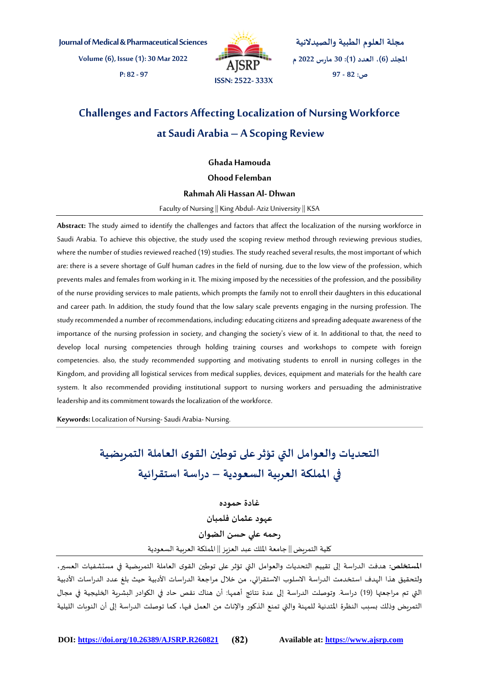**Journal of Medical & Pharmaceutical Sciences**

**Volume (6), Issue (1): 30 Mar 2022 P: 82 - 97**



**مجلة العلوم الطبية والصيدالنية املجلد )6(، العدد )1(: 30 مارس 2022 م ص: 82 - 97**

# **Challenges and Factors Affecting Localization of Nursing Workforce at Saudi Arabia – A Scoping Review**

**Ghada Hamouda**

**Ohood Felemban**

#### **Rahmah Ali Hassan Al- Dhwan**

Faculty of Nursing || King Abdul- Aziz University || KSA

**Abstract:** The study aimed to identify the challenges and factors that affect the localization of the nursing workforce in Saudi Arabia. To achieve this objective, the study used the scoping review method through reviewing previous studies, where the number of studies reviewed reached (19) studies. The study reached several results, the most important of which are: there is a severe shortage of Gulf human cadres in the field of nursing, due to the low view of the profession, which prevents males and females from working in it. The mixing imposed by the necessities of the profession, and the possibility of the nurse providing services to male patients, which prompts the family not to enroll their daughters in this educational and career path. In addition, the study found that the low salary scale prevents engaging in the nursing profession. The study recommended a number of recommendations, including: educating citizens and spreading adequate awareness of the importance of the nursing profession in society, and changing the society's view of it. In additional to that, the need to develop local nursing competencies through holding training courses and workshops to compete with foreign competencies. also, the study recommended supporting and motivating students to enroll in nursing colleges in the Kingdom, and providing all logistical services from medical supplies, devices, equipment and materials for the health care system. It also recommended providing institutional support to nursing workers and persuading the administrative leadership and its commitment towards the localization of the workforce.

**Keywords:** Localization of Nursing-Saudi Arabia- Nursing.

# **التحديات والعوامل التي تؤثرعلى توطين القوى العاملة التمريضية في اململكة العربية السعودية – دراسة استقرائية**

**غادة حموده**

**عهود عثمان فلمبان رحمه علي حسن الضوان** كلية التمريض|| جامعة امللك عبد العزيز || اململكة العربية السعودية

**املستخلص:** هدفت الدراسة إلى تقييم التحديات والعوامل التي تؤثر على توطين القوى العاملة التمريضية في مستشفيات العسير، ولتحقيق هذا الهدف استخدمت الدراسة االسلوب االستقرائي، من خالل مراجعة الدراسات األدبية حيث بلغ عدد الدراسات األدبية التي تم مراجعتها )19( دراسة. وتوصلت الدراسة إلى عدة نتائج أهمها: أن هناك نقص حاد في الكوادر البشرية الخليجية في مجال التمريض وذلك بسبب النظرة املتدنية للمهنة والتي تمنع الذكور والناث من العمل فيها، كما توصلت الدراسة إلى أن النوبات الليلية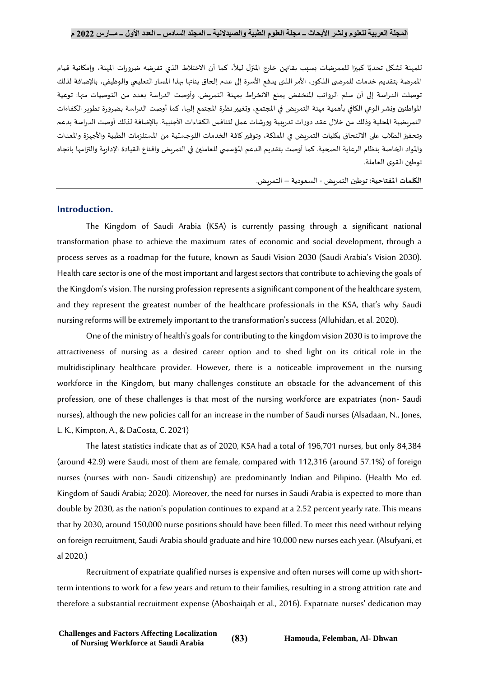للمهنة تشكل تحديًا كبيرًا للممرضات بسبب بقائهن خارج المنزل ليلاً، كما أن الاختلاط الذي تفرضه ضرورات المهنة، وإمكانية قيام ً ً ً الممرضة بتقديم خدمات للمرضى الذكور، الأمر الذي يدفع الأسرة إلى عدم إلحاق بناتها بهذا المسار التعليمي والوظيفي، بالإضافة لذلك توصلت الدراسة إلى أن سلم الرواتب املنخفض يمنع االنخراط بمهنة التمريض. وأوصت الدراسة بعدد من التوصيات منها: توعية املواطنين ونشر الوعي الكافي بأهمية مهنة التمريض في املجتمع، وتغييرنظرة املجتمع إليها، كما أوصت الدراسة بضرورة تطوير الكفاءات التمريضية املحلية وذلك من خالل عقد دورات تدريبية وورشات عمل لتنافس الكفاءات األجنبية. بالضافة لذلك أوصت الدراسة بدعم وتحفيز الطلاب على الالتحاق بكليات التمريض في الملكة، وتوفير كافة الخدمات اللوجستية من المستلزمات الطبية والأجهزة والمعدات والمواد الخاصة بنظام الرعاية الصحية. كما أوصت بتقديم الدعم المؤسسي للعاملين في التمريض واقناع القيادة الإدارية والتزامها باتجاه توطين القوى العاملة.

**الكلمات املفتاحية:** توطين التمريض - السعودية – التمريض.

## **Introduction.**

The Kingdom of Saudi Arabia (KSA) is currently passing through a significant national transformation phase to achieve the maximum rates of economic and social development, through a process serves as a roadmap for the future, known as Saudi Vision 2030 (Saudi Arabia's Vision 2030). Health care sector is one of the most important and largest sectors that contribute to achieving the goals of the Kingdom's vision. The nursing profession represents a significant component of the healthcare system, and they represent the greatest number of the healthcare professionals in the KSA, that's why Saudi nursing reforms will be extremely important to the transformation's success (Alluhidan, et al. 2020).

One of the ministry of health's goals for contributing to the kingdom vision 2030 is to improve the attractiveness of nursing as a desired career option and to shed light on its critical role in the multidisciplinary healthcare provider. However, there is a noticeable improvement in the nursing workforce in the Kingdom, but many challenges constitute an obstacle for the advancement of this profession, one of these challenges is that most of the nursing workforce are expatriates (non- Saudi nurses), although the new policies call for an increase in the number of Saudi nurses (Alsadaan, N., Jones, L. K., Kimpton, A., & DaCosta, C. 2021)

The latest statistics indicate that as of 2020, KSA had a total of 196,701 nurses, but only 84,384 (around 42.9) were Saudi, most of them are female, compared with 112,316 (around 57.1%) of foreign nurses (nurses with non- Saudi citizenship) are predominantly Indian and Pilipino. (Health Mo ed. Kingdom of Saudi Arabia; 2020). Moreover, the need for nurses in Saudi Arabia is expected to more than double by 2030, as the nation's population continues to expand at a 2.52 percent yearly rate. This means that by 2030, around 150,000 nurse positions should have been filled. To meet this need without relying on foreign recruitment, Saudi Arabia should graduate and hire 10,000 new nurses each year. (Alsufyani, et al 2020.)

Recruitment of expatriate qualified nurses is expensive and often nurses will come up with shortterm intentions to work for a few years and return to their families, resulting in a strong attrition rate and therefore a substantial recruitment expense (Aboshaiqah et al., 2016). Expatriate nurses' dedication may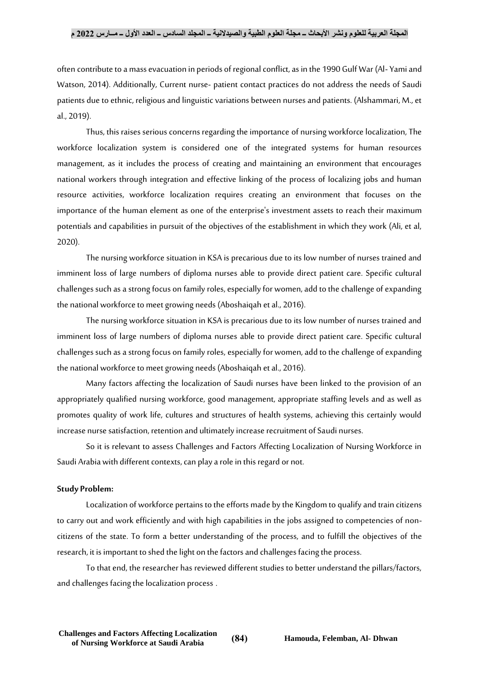#### **المجلة العربية للعلوم ونشر األبحاث ــ مجلة العلوم الطبية والصيدالنية ــ المجلد السادس ــ العدد األول ــ مــارس 2022 م**

often contribute to a mass evacuation in periods of regional conflict, as in the 1990 Gulf War (Al- Yami and Watson, 2014). Additionally, Current nurse- patient contact practices do not address the needs of Saudi patients due to ethnic, religious and linguistic variations between nurses and patients. (Alshammari, M., et al., 2019).

Thus, this raises serious concerns regarding the importance of nursing workforce localization, The workforce localization system is considered one of the integrated systems for human resources management, as it includes the process of creating and maintaining an environment that encourages national workers through integration and effective linking of the process of localizing jobs and human resource activities, workforce localization requires creating an environment that focuses on the importance of the human element as one of the enterprise's investment assets to reach their maximum potentials and capabilities in pursuit of the objectives of the establishment in which they work (Ali, et al, 2020).

The nursing workforce situation in KSA is precarious due to its low number of nurses trained and imminent loss of large numbers of diploma nurses able to provide direct patient care. Specific cultural challenges such as a strong focus on family roles, especially for women, add to the challenge of expanding the national workforce to meet growing needs (Aboshaiqah et al., 2016).

The nursing workforce situation in KSA is precarious due to its low number of nurses trained and imminent loss of large numbers of diploma nurses able to provide direct patient care. Specific cultural challenges such as a strong focus on family roles, especially for women, add to the challenge of expanding the national workforce to meet growing needs (Aboshaiqah et al., 2016).

Many factors affecting the localization of Saudi nurses have been linked to the provision of an appropriately qualified nursing workforce, good management, appropriate staffing levels and as well as promotes quality of work life, cultures and structures of health systems, achieving this certainly would increase nurse satisfaction, retention and ultimately increase recruitment of Saudi nurses.

So it is relevant to assess Challenges and Factors Affecting Localization of Nursing Workforce in Saudi Arabia with different contexts, can play a role in this regard or not.

#### **Study Problem:**

Localization of workforce pertains to the efforts made by the Kingdom to qualify and train citizens to carry out and work efficiently and with high capabilities in the jobs assigned to competencies of noncitizens of the state. To form a better understanding of the process, and to fulfill the objectives of the research, it is important to shed the light on the factors and challenges facing the process.

To that end, the researcher has reviewed different studies to better understand the pillars/factors, and challenges facing the localization process .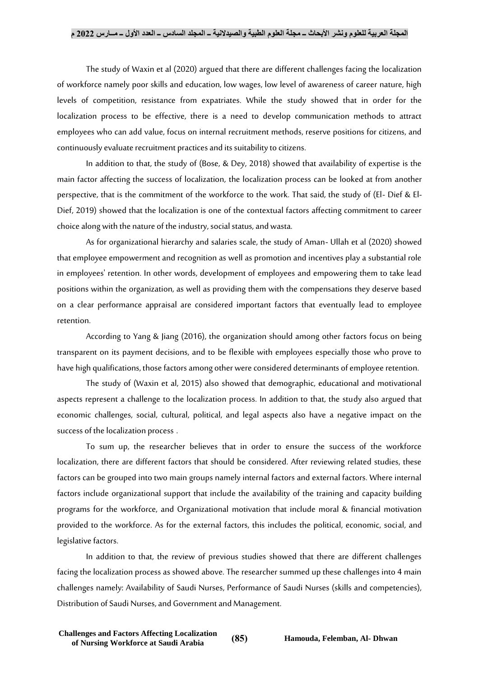The study of Waxin et al (2020) argued that there are different challenges facing the localization of workforce namely poor skills and education, low wages, low level of awareness of career nature, high levels of competition, resistance from expatriates. While the study showed that in order for the localization process to be effective, there is a need to develop communication methods to attract employees who can add value, focus on internal recruitment methods, reserve positions for citizens, and continuously evaluate recruitment practices and its suitability to citizens.

In addition to that, the study of (Bose, & Dey, 2018) showed that availability of expertise is the main factor affecting the success of localization, the localization process can be looked at from another perspective, that is the commitment of the workforce to the work. That said, the study of (El- Dief & El-Dief, 2019) showed that the localization is one of the contextual factors affecting commitment to career choice along with the nature of the industry, social status, and wasta.

As for organizational hierarchy and salaries scale, the study of Aman- Ullah et al (2020) showed that employee empowerment and recognition as well as promotion and incentives play a substantial role in employees' retention. In other words, development of employees and empowering them to take lead positions within the organization, as well as providing them with the compensations they deserve based on a clear performance appraisal are considered important factors that eventually lead to employee retention.

According to Yang & Jiang (2016), the organization should among other factors focus on being transparent on its payment decisions, and to be flexible with employees especially those who prove to have high qualifications, those factors among other were considered determinants of employee retention.

The study of (Waxin et al, 2015) also showed that demographic, educational and motivational aspects represent a challenge to the localization process. In addition to that, the study also argued that economic challenges, social, cultural, political, and legal aspects also have a negative impact on the success of the localization process .

To sum up, the researcher believes that in order to ensure the success of the workforce localization, there are different factors that should be considered. After reviewing related studies, these factors can be grouped into two main groups namely internal factors and external factors. Where internal factors include organizational support that include the availability of the training and capacity building programs for the workforce, and Organizational motivation that include moral & financial motivation provided to the workforce. As for the external factors, this includes the political, economic, social, and legislative factors.

In addition to that, the review of previous studies showed that there are different challenges facing the localization process as showed above. The researcher summed up these challenges into 4 main challenges namely: Availability of Saudi Nurses, Performance of Saudi Nurses (skills and competencies), Distribution of Saudi Nurses, and Government and Management.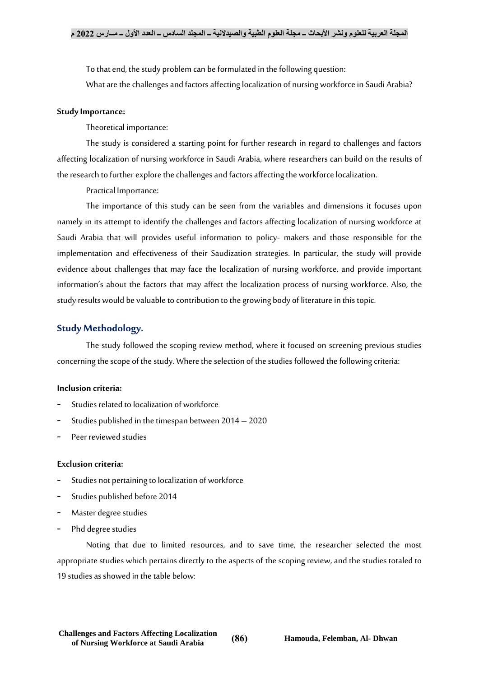To that end, the study problem can be formulated in the following question:

What are the challenges and factors affecting localization of nursing workforce in Saudi Arabia?

### **Study Importance:**

Theoretical importance:

The study is considered a starting point for further research in regard to challenges and factors affecting localization of nursing workforce in Saudi Arabia, where researchers can build on the results of the research to further explore the challenges and factors affecting the workforce localization.

Practical Importance:

The importance of this study can be seen from the variables and dimensions it focuses upon namely in its attempt to identify the challenges and factors affecting localization of nursing workforce at Saudi Arabia that will provides useful information to policy- makers and those responsible for the implementation and effectiveness of their Saudization strategies. In particular, the study will provide evidence about challenges that may face the localization of nursing workforce, and provide important information's about the factors that may affect the localization process of nursing workforce. Also, the study results would be valuable to contribution to the growing body of literature in this topic.

## **Study Methodology.**

The study followed the scoping review method, where it focused on screening previous studies concerning the scope of the study. Where the selection of the studies followed the following criteria:

#### **Inclusion criteria:**

- Studies related to localization of workforce
- Studies published in the timespan between 2014 2020
- Peer reviewed studies

#### **Exclusion criteria:**

- Studies not pertaining to localization of workforce
- Studies published before 2014
- Master degree studies
- Phd degree studies

Noting that due to limited resources, and to save time, the researcher selected the most appropriate studies which pertains directly to the aspects of the scoping review, and the studies totaled to 19 studies as showed in the table below: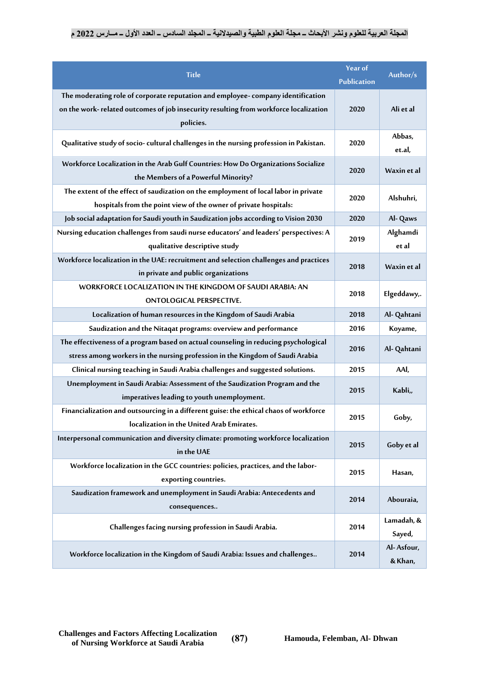| <b>Title</b>                                                                                                                                                                          | Year of<br><b>Publication</b> | Author/s              |
|---------------------------------------------------------------------------------------------------------------------------------------------------------------------------------------|-------------------------------|-----------------------|
| The moderating role of corporate reputation and employee-company identification<br>on the work- related outcomes of job insecurity resulting from workforce localization<br>policies. | 2020                          | Ali et al             |
| Qualitative study of socio- cultural challenges in the nursing profession in Pakistan.                                                                                                | 2020                          | Abbas,<br>et.al,      |
| Workforce Localization in the Arab Gulf Countries: How Do Organizations Socialize<br>the Members of a Powerful Minority?                                                              | 2020                          | Waxin et al           |
| The extent of the effect of saudization on the employment of local labor in private<br>hospitals from the point view of the owner of private hospitals:                               | 2020                          | Alshuhri,             |
| Job social adaptation for Saudi youth in Saudization jobs according to Vision 2030                                                                                                    | 2020                          | Al-Qaws               |
| Nursing education challenges from saudi nurse educators' and leaders' perspectives: A<br>qualitative descriptive study                                                                | 2019                          | Alghamdi<br>et al     |
| Workforce localization in the UAE: recruitment and selection challenges and practices<br>in private and public organizations                                                          | 2018                          | Waxin et al           |
| WORKFORCE LOCALIZATION IN THE KINGDOM OF SAUDI ARABIA: AN<br>ONTOLOGICAL PERSPECTIVE.                                                                                                 | 2018                          | Elgeddawy,.           |
| Localization of human resources in the Kingdom of Saudi Arabia                                                                                                                        | 2018                          | Al- Qahtani           |
| Saudization and the Nitaqat programs: overview and performance                                                                                                                        | 2016                          | Koyame,               |
| The effectiveness of a program based on actual counseling in reducing psychological<br>stress among workers in the nursing profession in the Kingdom of Saudi Arabia                  | 2016                          | Al- Qahtani           |
| Clinical nursing teaching in Saudi Arabia challenges and suggested solutions.                                                                                                         | 2015                          | AAI,                  |
| Unemployment in Saudi Arabia: Assessment of the Saudization Program and the<br>imperatives leading to youth unemployment.                                                             | 2015                          | Kabli,,               |
| Financialization and outsourcing in a different guise: the ethical chaos of workforce<br>localization in the United Arab Emirates.                                                    | 2015                          | Goby,                 |
| Interpersonal communication and diversity climate: promoting workforce localization<br>in the UAE                                                                                     | 2015                          | Goby et al            |
| Workforce localization in the GCC countries: policies, practices, and the labor-<br>exporting countries.                                                                              | 2015                          | Hasan,                |
| Saudization framework and unemployment in Saudi Arabia: Antecedents and<br>consequences                                                                                               | 2014                          | Abouraia,             |
| Challenges facing nursing profession in Saudi Arabia.                                                                                                                                 | 2014                          | Lamadah, &<br>Sayed,  |
| Workforce localization in the Kingdom of Saudi Arabia: Issues and challenges                                                                                                          | 2014                          | Al-Asfour,<br>& Khan, |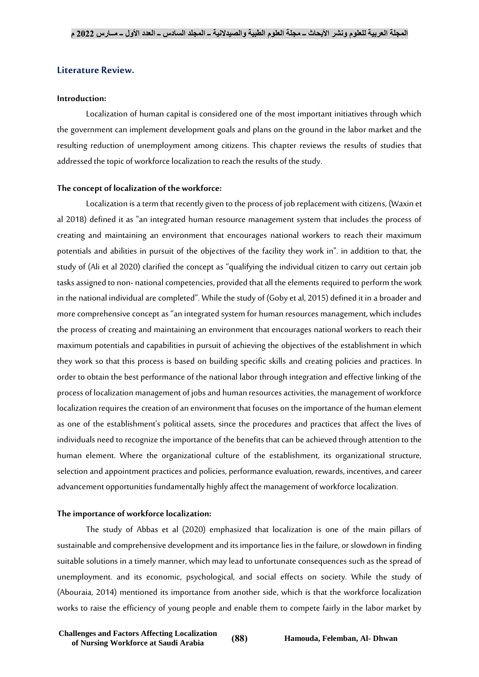## **Literature Review.**

#### **Introduction:**

Localization of human capital is considered one of the most important initiatives through which the government can implement development goals and plans on the ground in the labor market and the resulting reduction of unemployment among citizens. This chapter reviews the results of studies that addressed the topic of workforce localization to reach the results of the study.

#### **The concept of localization of the workforce:**

Localization is a term that recently given to the process of job replacement with citizens, (Waxin et al 2018) defined it as "an integrated human resource management system that includes the process of creating and maintaining an environment that encourages national workers to reach their maximum potentials and abilities in pursuit of the objectives of the facility they work in". in addition to that, the study of (Ali et al 2020) clarified the concept as "qualifying the individual citizen to carry out certain job tasks assigned to non- national competencies, provided that all the elements required to perform the work in the national individual are completed". While the study of (Goby et al, 2015) defined it in a broader and more comprehensive concept as "an integrated system for human resources management, which includes the process of creating and maintaining an environment that encourages national workers to reach their maximum potentials and capabilities in pursuit of achieving the objectives of the establishment in which they work so that this process is based on building specific skills and creating policies and practices. In order to obtain the best performance of the national labor through integration and effective linking of the process of localization management of jobs and human resources activities, the management of workforce localization requires the creation of an environment that focuses on the importance of the human element as one of the establishment's political assets, since the procedures and practices that affect the lives of individuals need to recognize the importance of the benefits that can be achieved through attention to the human element. Where the organizational culture of the establishment, its organizational structure, selection and appointment practices and policies, performance evaluation, rewards, incentives, and career advancement opportunities fundamentally highly affect the management of workforce localization.

#### **The importance of workforce localization:**

The study of Abbas et al (2020) emphasized that localization is one of the main pillars of sustainable and comprehensive development and its importance lies in the failure, or slowdown in finding suitable solutions in a timely manner, which may lead to unfortunate consequences such as the spread of unemployment. and its economic, psychological, and social effects on society. While the study of (Abouraia, 2014) mentioned its importance from another side, which is that the workforce localization works to raise the efficiency of young people and enable them to compete fairly in the labor market by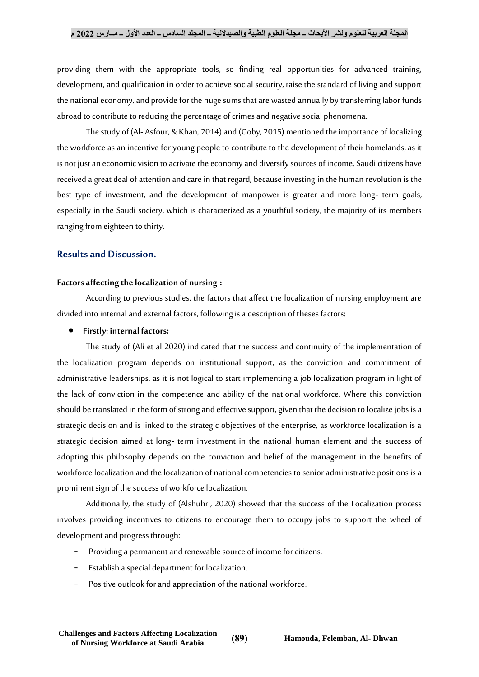providing them with the appropriate tools, so finding real opportunities for advanced training, development, and qualification in order to achieve social security, raise the standard of living and support the national economy, and provide for the huge sums that are wasted annually by transferring labor funds abroad to contribute to reducing the percentage of crimes and negative social phenomena.

The study of (Al- Asfour, & Khan, 2014) and (Goby, 2015) mentioned the importance of localizing the workforce as an incentive for young people to contribute to the development of their homelands, as it is not just an economic vision to activate the economy and diversify sources of income. Saudi citizens have received a great deal of attention and care in that regard, because investing in the human revolution is the best type of investment, and the development of manpower is greater and more long- term goals, especially in the Saudi society, which is characterized as a youthful society, the majority of its members ranging from eighteen to thirty.

## **Results and Discussion.**

#### **Factors affecting the localization of nursing :**

According to previous studies, the factors that affect the localization of nursing employment are divided into internal and external factors, following is a description of theses factors:

#### **Firstly: internal factors:**

The study of (Ali et al 2020) indicated that the success and continuity of the implementation of the localization program depends on institutional support, as the conviction and commitment of administrative leaderships, as it is not logical to start implementing a job localization program in light of the lack of conviction in the competence and ability of the national workforce. Where this conviction should be translated in the form of strong and effective support, given that the decision to localize jobs is a strategic decision and is linked to the strategic objectives of the enterprise, as workforce localization is a strategic decision aimed at long- term investment in the national human element and the success of adopting this philosophy depends on the conviction and belief of the management in the benefits of workforce localization and the localization of national competencies to senior administrative positions is a prominent sign of the success of workforce localization.

Additionally, the study of (Alshuhri, 2020) showed that the success of the Localization process involves providing incentives to citizens to encourage them to occupy jobs to support the wheel of development and progress through:

- Providing a permanent and renewable source of income for citizens.
- Establish a special department for localization.
- Positive outlook for and appreciation of the national workforce.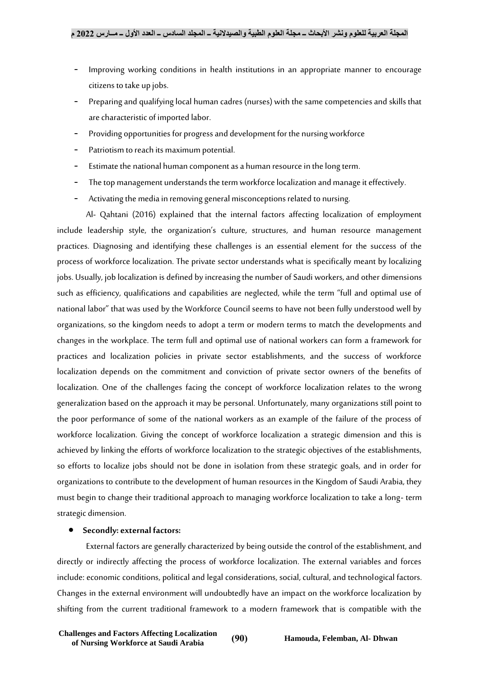- Improving working conditions in health institutions in an appropriate manner to encourage citizens to take up jobs.
- Preparing and qualifying local human cadres (nurses) with the same competencies and skills that are characteristic of imported labor.
- Providing opportunities for progress and development for the nursing workforce
- Patriotism to reach its maximum potential.
- Estimate the national human component as a human resource in the long term.
- The top management understands the term workforce localization and manage it effectively.
- Activating the media in removing general misconceptions related to nursing.

Al- Qahtani (2016) explained that the internal factors affecting localization of employment include leadership style, the organization's culture, structures, and human resource management practices. Diagnosing and identifying these challenges is an essential element for the success of the process of workforce localization. The private sector understands what is specifically meant by localizing jobs. Usually, job localization is defined by increasing the number of Saudi workers, and other dimensions such as efficiency, qualifications and capabilities are neglected, while the term "full and optimal use of national labor" that was used by the Workforce Council seems to have not been fully understood well by organizations, so the kingdom needs to adopt a term or modern terms to match the developments and changes in the workplace. The term full and optimal use of national workers can form a framework for practices and localization policies in private sector establishments, and the success of workforce localization depends on the commitment and conviction of private sector owners of the benefits of localization. One of the challenges facing the concept of workforce localization relates to the wrong generalization based on the approach it may be personal. Unfortunately, many organizations still point to the poor performance of some of the national workers as an example of the failure of the process of workforce localization. Giving the concept of workforce localization a strategic dimension and this is achieved by linking the efforts of workforce localization to the strategic objectives of the establishments, so efforts to localize jobs should not be done in isolation from these strategic goals, and in order for organizations to contribute to the development of human resources in the Kingdom of Saudi Arabia, they must begin to change their traditional approach to managing workforce localization to take a long- term strategic dimension.

# **Secondly: external factors:**

External factors are generally characterized by being outside the control of the establishment, and directly or indirectly affecting the process of workforce localization. The external variables and forces include: economic conditions, political and legal considerations, social, cultural, and technological factors. Changes in the external environment will undoubtedly have an impact on the workforce localization by shifting from the current traditional framework to a modern framework that is compatible with the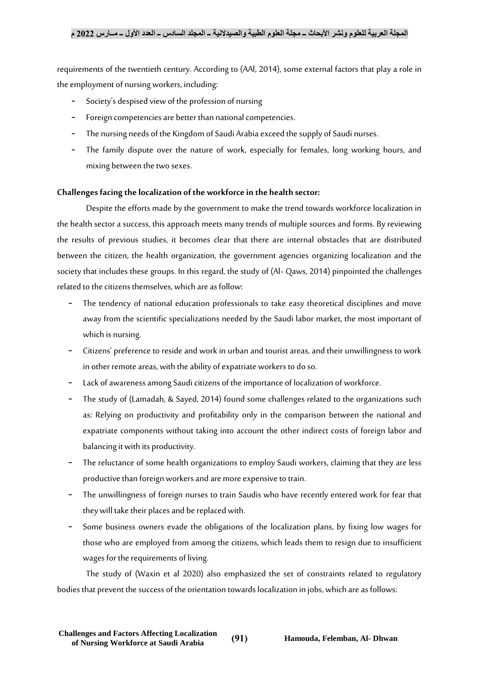requirements of the twentieth century. According to (AAl, 2014), some external factors that play a role in the employment of nursing workers, including:

- Society's despised view of the profession of nursing
- Foreign competencies are better than national competencies.
- The nursing needs of the Kingdom of Saudi Arabia exceed the supply of Saudi nurses.
- The family dispute over the nature of work, especially for females, long working hours, and mixing between the two sexes.

## **Challenges facing the localization of the workforce in the health sector:**

Despite the efforts made by the government to make the trend towards workforce localization in the health sector a success, this approach meets many trends of multiple sources and forms. By reviewing the results of previous studies, it becomes clear that there are internal obstacles that are distributed between the citizen, the health organization, the government agencies organizing localization and the society that includes these groups. In this regard, the study of (Al- Qaws, 2014) pinpointed the challenges related to the citizens themselves, which are as follow:

- The tendency of national education professionals to take easy theoretical disciplines and move away from the scientific specializations needed by the Saudi labor market, the most important of which is nursing.
- Citizens' preference to reside and work in urban and tourist areas, and their unwillingness to work in other remote areas, with the ability of expatriate workers to do so.
- Lack of awareness among Saudi citizens of the importance of localization of workforce.
- The study of (Lamadah, & Sayed, 2014) found some challenges related to the organizations such as: Relying on productivity and profitability only in the comparison between the national and expatriate components without taking into account the other indirect costs of foreign labor and balancing it with its productivity.
- The reluctance of some health organizations to employ Saudi workers, claiming that they are less productive than foreign workers and are more expensive to train.
- The unwillingness of foreign nurses to train Saudis who have recently entered work for fear that they will take their places and be replaced with.
- Some business owners evade the obligations of the localization plans, by fixing low wages for those who are employed from among the citizens, which leads them to resign due to insufficient wages for the requirements of living.

The study of (Waxin et al 2020) also emphasized the set of constraints related to regulatory bodies that prevent the success of the orientation towards localization in jobs, which are as follows: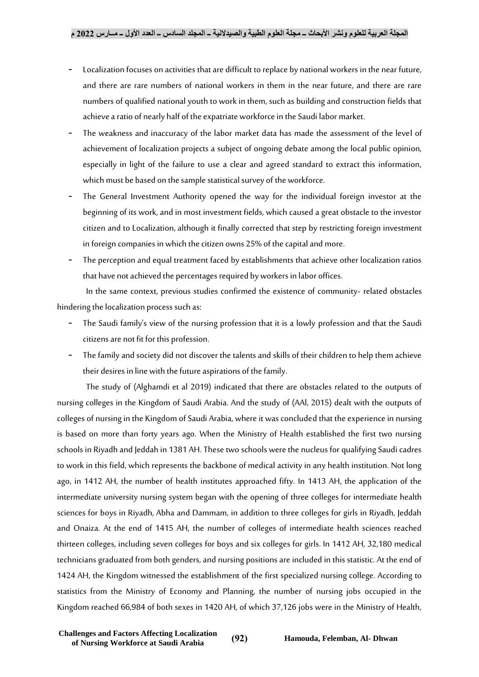- Localization focuses on activities that are difficult to replace by national workers in the near future, and there are rare numbers of national workers in them in the near future, and there are rare numbers of qualified national youth to work in them, such as building and construction fields that achieve a ratio of nearly half of the expatriate workforce in the Saudi labor market.
- The weakness and inaccuracy of the labor market data has made the assessment of the level of achievement of localization projects a subject of ongoing debate among the local public opinion, especially in light of the failure to use a clear and agreed standard to extract this information, which must be based on the sample statistical survey of the workforce.
- The General Investment Authority opened the way for the individual foreign investor at the beginning of its work, and in most investment fields, which caused a great obstacle to the investor citizen and to Localization, although it finally corrected that step by restricting foreign investment in foreign companies in which the citizen owns 25% of the capital and more.
- The perception and equal treatment faced by establishments that achieve other localization ratios that have not achieved the percentages required by workers in labor offices.

In the same context, previous studies confirmed the existence of community- related obstacles hindering the localization process such as:

- The Saudi family's view of the nursing profession that it is a lowly profession and that the Saudi citizens are not fit for this profession.
- The family and society did not discover the talents and skills of their children to help them achieve their desires in line with the future aspirations of the family.

The study of (Alghamdi et al 2019) indicated that there are obstacles related to the outputs of nursing colleges in the Kingdom of Saudi Arabia. And the study of (AAl, 2015) dealt with the outputs of colleges of nursing in the Kingdom of Saudi Arabia, where it was concluded that the experience in nursing is based on more than forty years ago. When the Ministry of Health established the first two nursing schools in Riyadh and Jeddah in 1381 AH. These two schools were the nucleus for qualifying Saudi cadres to work in this field, which represents the backbone of medical activity in any health institution. Not long ago, in 1412 AH, the number of health institutes approached fifty. In 1413 AH, the application of the intermediate university nursing system began with the opening of three colleges for intermediate health sciences for boys in Riyadh, Abha and Dammam, in addition to three colleges for girls in Riyadh, Jeddah and Onaiza. At the end of 1415 AH, the number of colleges of intermediate health sciences reached thirteen colleges, including seven colleges for boys and six colleges for girls. In 1412 AH, 32,180 medical technicians graduated from both genders, and nursing positions are included in this statistic. At the end of 1424 AH, the Kingdom witnessed the establishment of the first specialized nursing college. According to statistics from the Ministry of Economy and Planning, the number of nursing jobs occupied in the Kingdom reached 66,984 of both sexes in 1420 AH, of which 37,126 jobs were in the Ministry of Health,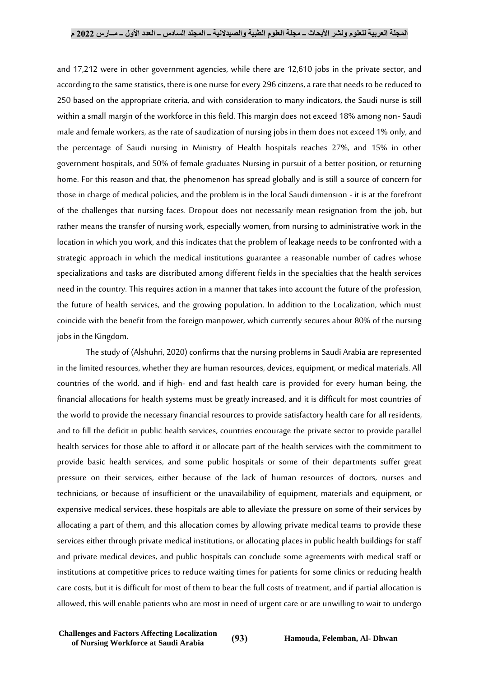and 17,212 were in other government agencies, while there are 12,610 jobs in the private sector, and according to the same statistics, there is one nurse for every 296 citizens, a rate that needs to be reduced to 250 based on the appropriate criteria, and with consideration to many indicators, the Saudi nurse is still within a small margin of the workforce in this field. This margin does not exceed 18% among non- Saudi male and female workers, as the rate of saudization of nursing jobs in them does not exceed 1% only, and the percentage of Saudi nursing in Ministry of Health hospitals reaches 27%, and 15% in other government hospitals, and 50% of female graduates Nursing in pursuit of a better position, or returning home. For this reason and that, the phenomenon has spread globally and is still a source of concern for those in charge of medical policies, and the problem is in the local Saudi dimension - it is at the forefront of the challenges that nursing faces. Dropout does not necessarily mean resignation from the job, but rather means the transfer of nursing work, especially women, from nursing to administrative work in the location in which you work, and this indicates that the problem of leakage needs to be confronted with a strategic approach in which the medical institutions guarantee a reasonable number of cadres whose specializations and tasks are distributed among different fields in the specialties that the health services need in the country. This requires action in a manner that takes into account the future of the profession, the future of health services, and the growing population. In addition to the Localization, which must coincide with the benefit from the foreign manpower, which currently secures about 80% of the nursing jobs in the Kingdom.

The study of (Alshuhri, 2020) confirms that the nursing problems in Saudi Arabia are represented in the limited resources, whether they are human resources, devices, equipment, or medical materials. All countries of the world, and if high- end and fast health care is provided for every human being, the financial allocations for health systems must be greatly increased, and it is difficult for most countries of the world to provide the necessary financial resources to provide satisfactory health care for all residents, and to fill the deficit in public health services, countries encourage the private sector to provide parallel health services for those able to afford it or allocate part of the health services with the commitment to provide basic health services, and some public hospitals or some of their departments suffer great pressure on their services, either because of the lack of human resources of doctors, nurses and technicians, or because of insufficient or the unavailability of equipment, materials and equipment, or expensive medical services, these hospitals are able to alleviate the pressure on some of their services by allocating a part of them, and this allocation comes by allowing private medical teams to provide these services either through private medical institutions, or allocating places in public health buildings for staff and private medical devices, and public hospitals can conclude some agreements with medical staff or institutions at competitive prices to reduce waiting times for patients for some clinics or reducing health care costs, but it is difficult for most of them to bear the full costs of treatment, and if partial allocation is allowed, this will enable patients who are most in need of urgent care or are unwilling to wait to undergo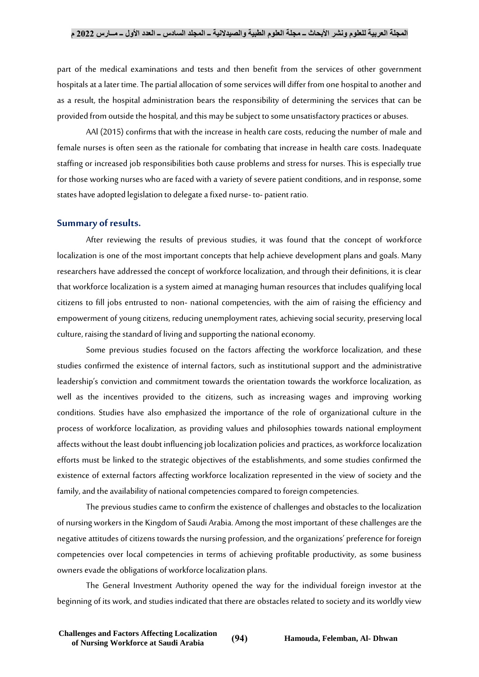part of the medical examinations and tests and then benefit from the services of other government hospitals at a later time. The partial allocation of some services will differ from one hospital to another and as a result, the hospital administration bears the responsibility of determining the services that can be provided from outside the hospital, and this may be subject to some unsatisfactory practices or abuses.

AAl (2015) confirms that with the increase in health care costs, reducing the number of male and female nurses is often seen as the rationale for combating that increase in health care costs. Inadequate staffing or increased job responsibilities both cause problems and stress for nurses. This is especially true for those working nurses who are faced with a variety of severe patient conditions, and in response, some states have adopted legislation to delegate a fixed nurse- to- patient ratio.

#### **Summary of results.**

After reviewing the results of previous studies, it was found that the concept of workforce localization is one of the most important concepts that help achieve development plans and goals. Many researchers have addressed the concept of workforce localization, and through their definitions, it is clear that workforce localization is a system aimed at managing human resources that includes qualifying local citizens to fill jobs entrusted to non- national competencies, with the aim of raising the efficiency and empowerment of young citizens, reducing unemployment rates, achieving social security, preserving local culture, raising the standard of living and supporting the national economy.

Some previous studies focused on the factors affecting the workforce localization, and these studies confirmed the existence of internal factors, such as institutional support and the administrative leadership's conviction and commitment towards the orientation towards the workforce localization, as well as the incentives provided to the citizens, such as increasing wages and improving working conditions. Studies have also emphasized the importance of the role of organizational culture in the process of workforce localization, as providing values and philosophies towards national employment affects without the least doubt influencing job localization policies and practices, as workforce localization efforts must be linked to the strategic objectives of the establishments, and some studies confirmed the existence of external factors affecting workforce localization represented in the view of society and the family, and the availability of national competencies compared to foreign competencies.

The previous studies came to confirm the existence of challenges and obstacles to the localization of nursing workers in the Kingdom of Saudi Arabia. Among the most important of these challenges are the negative attitudes of citizens towards the nursing profession, and the organizations' preference for foreign competencies over local competencies in terms of achieving profitable productivity, as some business owners evade the obligations of workforce localization plans.

The General Investment Authority opened the way for the individual foreign investor at the beginning of its work, and studies indicated that there are obstacles related to society and its worldly view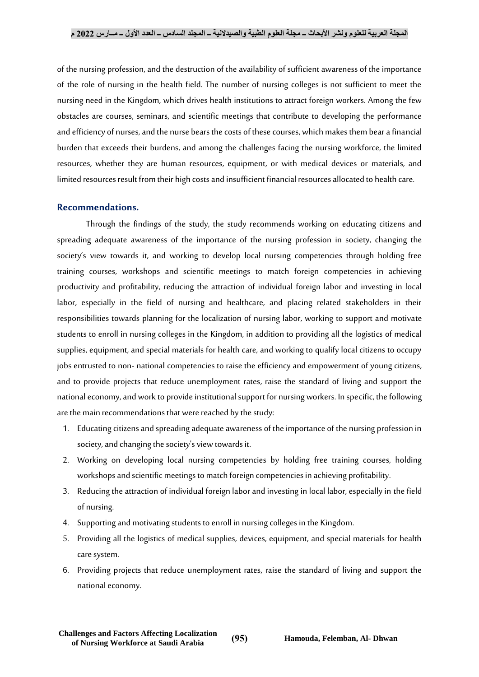of the nursing profession, and the destruction of the availability of sufficient awareness of the importance of the role of nursing in the health field. The number of nursing colleges is not sufficient to meet the nursing need in the Kingdom, which drives health institutions to attract foreign workers. Among the few obstacles are courses, seminars, and scientific meetings that contribute to developing the performance and efficiency of nurses, and the nurse bears the costs of these courses, which makes them bear a financial burden that exceeds their burdens, and among the challenges facing the nursing workforce, the limited resources, whether they are human resources, equipment, or with medical devices or materials, and limited resources result from their high costs and insufficient financial resources allocated to health care.

## **Recommendations.**

Through the findings of the study, the study recommends working on educating citizens and spreading adequate awareness of the importance of the nursing profession in society, changing the society's view towards it, and working to develop local nursing competencies through holding free training courses, workshops and scientific meetings to match foreign competencies in achieving productivity and profitability, reducing the attraction of individual foreign labor and investing in local labor, especially in the field of nursing and healthcare, and placing related stakeholders in their responsibilities towards planning for the localization of nursing labor, working to support and motivate students to enroll in nursing colleges in the Kingdom, in addition to providing all the logistics of medical supplies, equipment, and special materials for health care, and working to qualify local citizens to occupy jobs entrusted to non- national competencies to raise the efficiency and empowerment of young citizens, and to provide projects that reduce unemployment rates, raise the standard of living and support the national economy, and work to provide institutional support for nursing workers. In specific, the following are the main recommendations that were reached by the study:

- 1. Educating citizens and spreading adequate awareness of the importance of the nursing profession in society, and changing the society's view towards it.
- 2. Working on developing local nursing competencies by holding free training courses, holding workshops and scientific meetings to match foreign competencies in achieving profitability.
- 3. Reducing the attraction of individual foreign labor and investing in local labor, especially in the field of nursing.
- 4. Supporting and motivating students to enroll in nursing colleges in the Kingdom.
- 5. Providing all the logistics of medical supplies, devices, equipment, and special materials for health care system.
- 6. Providing projects that reduce unemployment rates, raise the standard of living and support the national economy.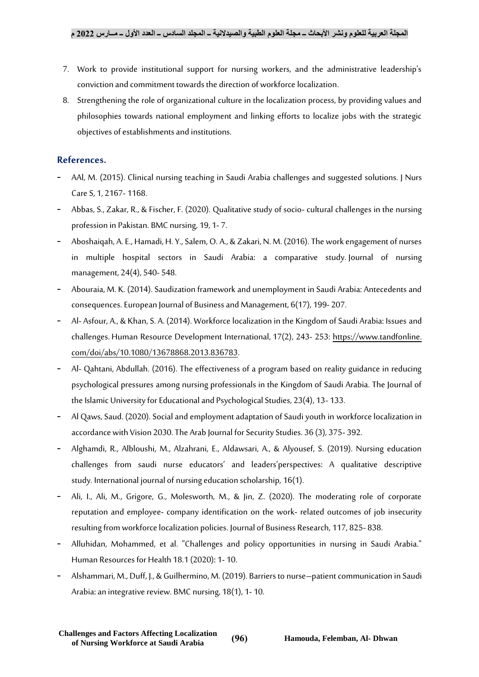- 7. Work to provide institutional support for nursing workers, and the administrative leadership's conviction and commitment towards the direction of workforce localization.
- 8. Strengthening the role of organizational culture in the localization process, by providing values and philosophies towards national employment and linking efforts to localize jobs with the strategic objectives of establishments and institutions.

## **References.**

- AAl, M. (2015). Clinical nursing teaching in Saudi Arabia challenges and suggested solutions. J Nurs Care S, 1, 2167- 1168.
- Abbas, S., Zakar, R., & Fischer, F. (2020). Qualitative study of socio- cultural challenges in the nursing profession in Pakistan. BMC nursing, 19, 1- 7.
- Aboshaiqah, A. E., Hamadi, H. Y., Salem, O. A., & Zakari, N. M. (2016). The work engagement of nurses in multiple hospital sectors in Saudi Arabia: a comparative study. Journal of nursing management, 24(4), 540- 548.
- Abouraia, M. K. (2014). Saudization framework and unemployment in Saudi Arabia: Antecedents and consequences.European Journal of Business and Management, 6(17), 199- 207.
- Al- Asfour, A., & Khan, S. A. (2014). Workforce localization in the Kingdom of Saudi Arabia: Issues and challenges. Human Resource Development International, 17(2), 243- 253: https://www.tandfonline. com/doi/abs/10.1080/13678868.2013.836783.
- Al- Qahtani, Abdullah. (2016). The effectiveness of a program based on reality guidance in reducing psychological pressures among nursing professionals in the Kingdom of Saudi Arabia. The Journal of the Islamic University for Educational and Psychological Studies, 23(4), 13- 133.
- Al Qaws, Saud. (2020). Social and employment adaptation of Saudi youth in workforce localization in accordance with Vision 2030. The Arab Journal for Security Studies. 36 (3), 375- 392.
- Alghamdi, R., Albloushi, M., Alzahrani, E., Aldawsari, A., & Alyousef, S. (2019). Nursing education challenges from saudi nurse educators' and leaders'perspectives: A qualitative descriptive study. International journal of nursing education scholarship, 16(1).
- Ali, I., Ali, M., Grigore, G., Molesworth, M., & Jin, Z. (2020). The moderating role of corporate reputation and employee- company identification on the work- related outcomes of job insecurity resulting from workforce localization policies. Journal of Business Research, 117, 825- 838.
- Alluhidan, Mohammed, et al. "Challenges and policy opportunities in nursing in Saudi Arabia." Human Resources for Health 18.1 (2020): 1- 10.
- Alshammari, M., Duff, J., & Guilhermino, M. (2019). Barriers to nurse–patient communication in Saudi Arabia: an integrative review. BMC nursing, 18(1), 1- 10.